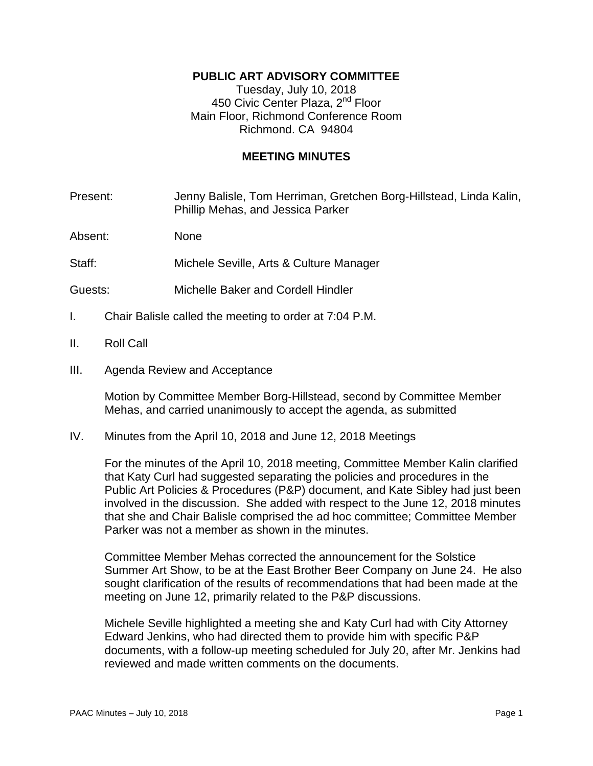## **PUBLIC ART ADVISORY COMMITTEE**

Tuesday, July 10, 2018 450 Civic Center Plaza, 2<sup>nd</sup> Floor Main Floor, Richmond Conference Room Richmond. CA 94804

## **MEETING MINUTES**

Present: Jenny Balisle, Tom Herriman, Gretchen Borg-Hillstead, Linda Kalin, Phillip Mehas, and Jessica Parker

Absent: None

Staff: Michele Seville, Arts & Culture Manager

- Guests: Michelle Baker and Cordell Hindler
- I. Chair Balisle called the meeting to order at 7:04 P.M.
- II. Roll Call
- III. Agenda Review and Acceptance

Motion by Committee Member Borg-Hillstead, second by Committee Member Mehas, and carried unanimously to accept the agenda, as submitted

IV. Minutes from the April 10, 2018 and June 12, 2018 Meetings

For the minutes of the April 10, 2018 meeting, Committee Member Kalin clarified that Katy Curl had suggested separating the policies and procedures in the Public Art Policies & Procedures (P&P) document, and Kate Sibley had just been involved in the discussion. She added with respect to the June 12, 2018 minutes that she and Chair Balisle comprised the ad hoc committee; Committee Member Parker was not a member as shown in the minutes.

Committee Member Mehas corrected the announcement for the Solstice Summer Art Show, to be at the East Brother Beer Company on June 24. He also sought clarification of the results of recommendations that had been made at the meeting on June 12, primarily related to the P&P discussions.

Michele Seville highlighted a meeting she and Katy Curl had with City Attorney Edward Jenkins, who had directed them to provide him with specific P&P documents, with a follow-up meeting scheduled for July 20, after Mr. Jenkins had reviewed and made written comments on the documents.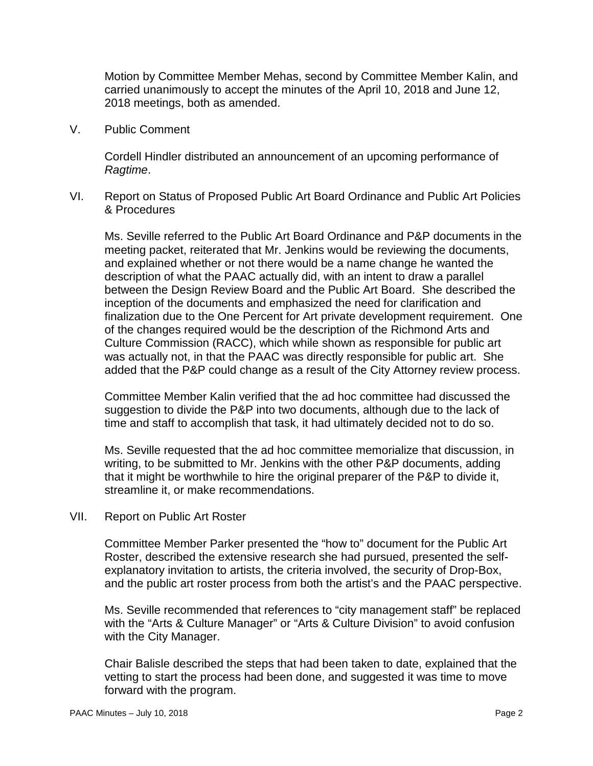Motion by Committee Member Mehas, second by Committee Member Kalin, and carried unanimously to accept the minutes of the April 10, 2018 and June 12, 2018 meetings, both as amended.

V. Public Comment

Cordell Hindler distributed an announcement of an upcoming performance of *Ragtime*.

VI. Report on Status of Proposed Public Art Board Ordinance and Public Art Policies & Procedures

Ms. Seville referred to the Public Art Board Ordinance and P&P documents in the meeting packet, reiterated that Mr. Jenkins would be reviewing the documents, and explained whether or not there would be a name change he wanted the description of what the PAAC actually did, with an intent to draw a parallel between the Design Review Board and the Public Art Board. She described the inception of the documents and emphasized the need for clarification and finalization due to the One Percent for Art private development requirement. One of the changes required would be the description of the Richmond Arts and Culture Commission (RACC), which while shown as responsible for public art was actually not, in that the PAAC was directly responsible for public art. She added that the P&P could change as a result of the City Attorney review process.

Committee Member Kalin verified that the ad hoc committee had discussed the suggestion to divide the P&P into two documents, although due to the lack of time and staff to accomplish that task, it had ultimately decided not to do so.

Ms. Seville requested that the ad hoc committee memorialize that discussion, in writing, to be submitted to Mr. Jenkins with the other P&P documents, adding that it might be worthwhile to hire the original preparer of the P&P to divide it, streamline it, or make recommendations.

VII. Report on Public Art Roster

Committee Member Parker presented the "how to" document for the Public Art Roster, described the extensive research she had pursued, presented the selfexplanatory invitation to artists, the criteria involved, the security of Drop-Box, and the public art roster process from both the artist's and the PAAC perspective.

Ms. Seville recommended that references to "city management staff" be replaced with the "Arts & Culture Manager" or "Arts & Culture Division" to avoid confusion with the City Manager.

Chair Balisle described the steps that had been taken to date, explained that the vetting to start the process had been done, and suggested it was time to move forward with the program.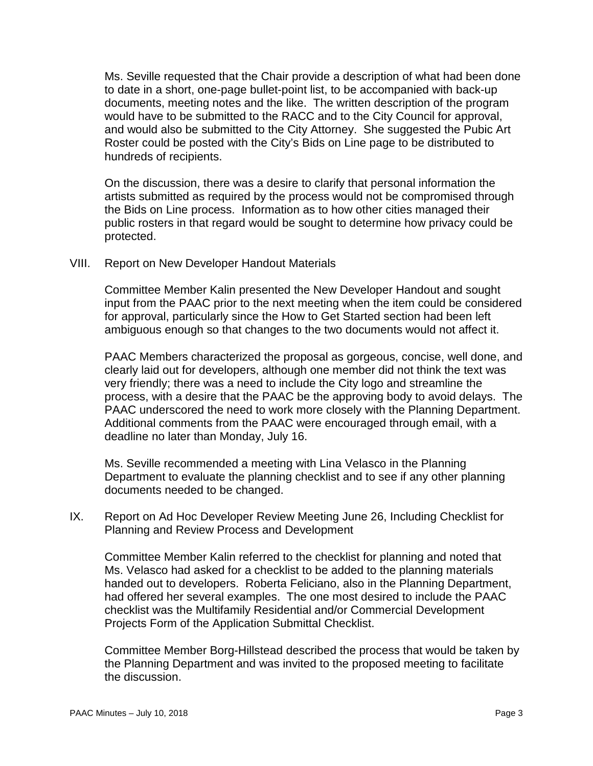Ms. Seville requested that the Chair provide a description of what had been done to date in a short, one-page bullet-point list, to be accompanied with back-up documents, meeting notes and the like. The written description of the program would have to be submitted to the RACC and to the City Council for approval, and would also be submitted to the City Attorney. She suggested the Pubic Art Roster could be posted with the City's Bids on Line page to be distributed to hundreds of recipients.

On the discussion, there was a desire to clarify that personal information the artists submitted as required by the process would not be compromised through the Bids on Line process. Information as to how other cities managed their public rosters in that regard would be sought to determine how privacy could be protected.

VIII. Report on New Developer Handout Materials

Committee Member Kalin presented the New Developer Handout and sought input from the PAAC prior to the next meeting when the item could be considered for approval, particularly since the How to Get Started section had been left ambiguous enough so that changes to the two documents would not affect it.

PAAC Members characterized the proposal as gorgeous, concise, well done, and clearly laid out for developers, although one member did not think the text was very friendly; there was a need to include the City logo and streamline the process, with a desire that the PAAC be the approving body to avoid delays. The PAAC underscored the need to work more closely with the Planning Department. Additional comments from the PAAC were encouraged through email, with a deadline no later than Monday, July 16.

Ms. Seville recommended a meeting with Lina Velasco in the Planning Department to evaluate the planning checklist and to see if any other planning documents needed to be changed.

IX. Report on Ad Hoc Developer Review Meeting June 26, Including Checklist for Planning and Review Process and Development

Committee Member Kalin referred to the checklist for planning and noted that Ms. Velasco had asked for a checklist to be added to the planning materials handed out to developers. Roberta Feliciano, also in the Planning Department, had offered her several examples. The one most desired to include the PAAC checklist was the Multifamily Residential and/or Commercial Development Projects Form of the Application Submittal Checklist.

Committee Member Borg-Hillstead described the process that would be taken by the Planning Department and was invited to the proposed meeting to facilitate the discussion.